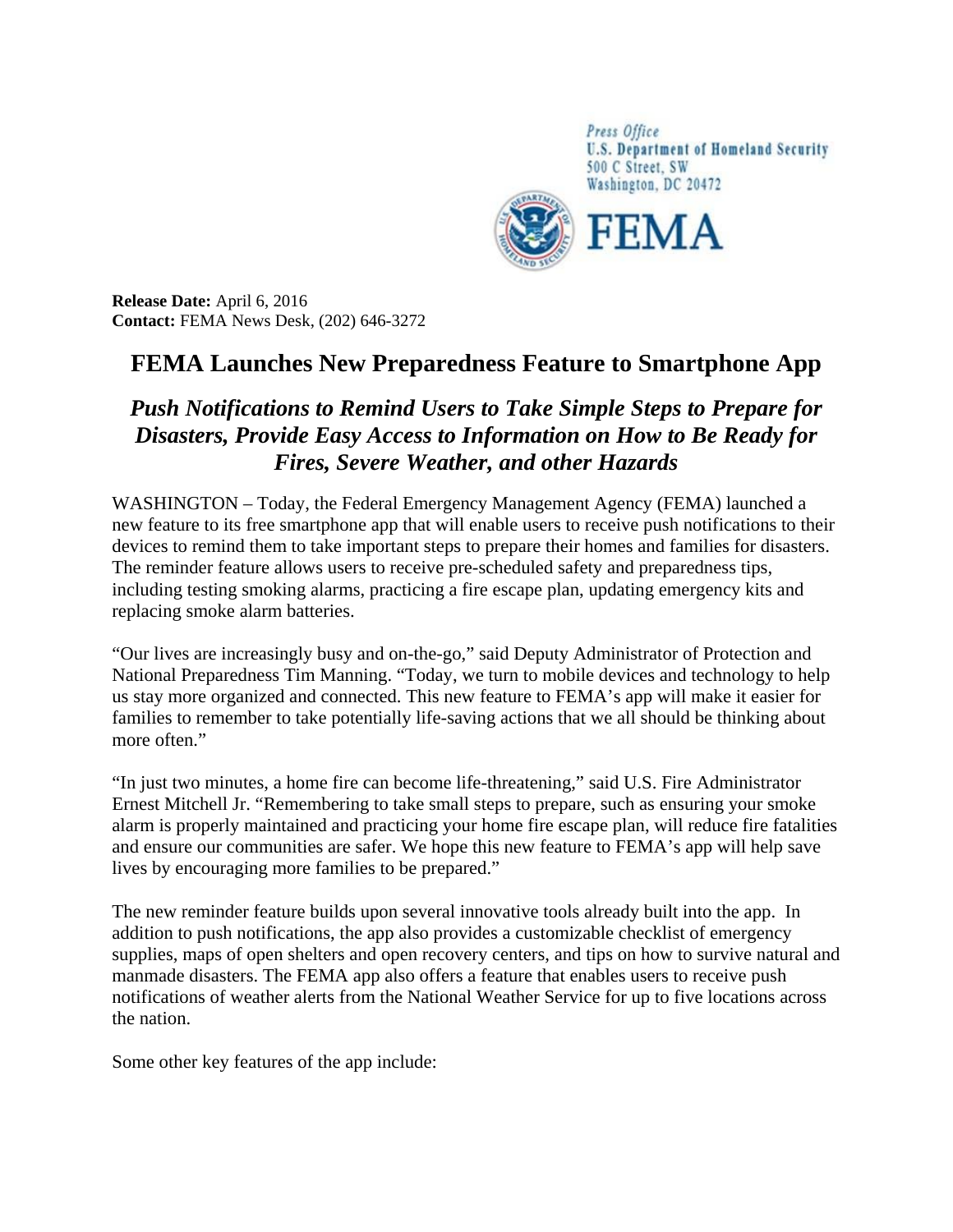

**Release Date:** April 6, 2016 **Contact:** FEMA News Desk, (202) 646-3272

## **FEMA Launches New Preparedness Feature to Smartphone App**

## *Push Notifications to Remind Users to Take Simple Steps to Prepare for Disasters, Provide Easy Access to Information on How to Be Ready for Fires, Severe Weather, and other Hazards*

WASHINGTON – Today, the Federal Emergency Management Agency (FEMA) launched a new feature to its free smartphone app that will enable users to receive push notifications to their devices to remind them to take important steps to prepare their homes and families for disasters. The reminder feature allows users to receive pre-scheduled safety and preparedness tips, including testing smoking alarms, practicing a fire escape plan, updating emergency kits and replacing smoke alarm batteries.

"Our lives are increasingly busy and on-the-go," said Deputy Administrator of Protection and National Preparedness Tim Manning. "Today, we turn to mobile devices and technology to help us stay more organized and connected. This new feature to FEMA's app will make it easier for families to remember to take potentially life-saving actions that we all should be thinking about more often."

"In just two minutes, a home fire can become life-threatening," said U.S. Fire Administrator Ernest Mitchell Jr. "Remembering to take small steps to prepare, such as ensuring your smoke alarm is properly maintained and practicing your home fire escape plan, will reduce fire fatalities and ensure our communities are safer. We hope this new feature to FEMA's app will help save lives by encouraging more families to be prepared."

The new reminder feature builds upon several innovative tools already built into the app. In addition to push notifications, the app also provides a customizable checklist of emergency supplies, maps of open shelters and open recovery centers, and tips on how to survive natural and manmade disasters. The FEMA app also offers a feature that enables users to receive push notifications of weather alerts from the National Weather Service for up to five locations across the nation.

Some other key features of the app include: